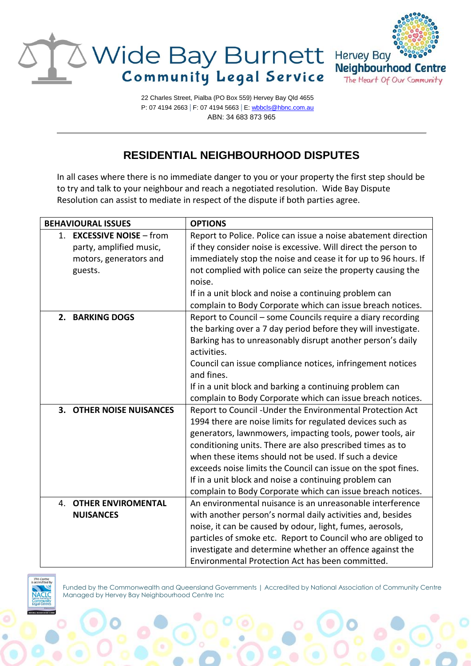

22 Charles Street, Pialba (PO Box 559) Hervey Bay Qld 4655 P: 07 4194 2663 | F: 07 4194 5663 | E[: wbbcls@hbnc.com.au](mailto:wbbcls@hbnc.com.au) ABN: 34 683 873 965

## **RESIDENTIAL NEIGHBOURHOOD DISPUTES**

In all cases where there is no immediate danger to you or your property the first step should be to try and talk to your neighbour and reach a negotiated resolution. Wide Bay Dispute Resolution can assist to mediate in respect of the dispute if both parties agree.

| <b>BEHAVIOURAL ISSUES</b> | <b>OPTIONS</b>                                                 |
|---------------------------|----------------------------------------------------------------|
| 1. EXCESSIVE NOISE - from | Report to Police. Police can issue a noise abatement direction |
| party, amplified music,   | if they consider noise is excessive. Will direct the person to |
| motors, generators and    | immediately stop the noise and cease it for up to 96 hours. If |
| guests.                   | not complied with police can seize the property causing the    |
|                           | noise.                                                         |
|                           | If in a unit block and noise a continuing problem can          |
|                           | complain to Body Corporate which can issue breach notices.     |
| 2. BARKING DOGS           | Report to Council - some Councils require a diary recording    |
|                           | the barking over a 7 day period before they will investigate.  |
|                           | Barking has to unreasonably disrupt another person's daily     |
|                           | activities.                                                    |
|                           | Council can issue compliance notices, infringement notices     |
|                           | and fines.                                                     |
|                           | If in a unit block and barking a continuing problem can        |
|                           | complain to Body Corporate which can issue breach notices.     |
| 3. OTHER NOISE NUISANCES  | Report to Council - Under the Environmental Protection Act     |
|                           | 1994 there are noise limits for regulated devices such as      |
|                           | generators, lawnmowers, impacting tools, power tools, air      |
|                           | conditioning units. There are also prescribed times as to      |
|                           | when these items should not be used. If such a device          |
|                           | exceeds noise limits the Council can issue on the spot fines.  |
|                           | If in a unit block and noise a continuing problem can          |
|                           | complain to Body Corporate which can issue breach notices.     |
| 4. OTHER ENVIROMENTAL     | An environmental nuisance is an unreasonable interference      |
| <b>NUISANCES</b>          | with another person's normal daily activities and, besides     |
|                           | noise, it can be caused by odour, light, fumes, aerosols,      |
|                           | particles of smoke etc. Report to Council who are obliged to   |
|                           | investigate and determine whether an offence against the       |
|                           | Environmental Protection Act has been committed.               |



Funded by the Commonwealth and Queensland Governments | Accredited by National Association of Community Centre Managed by Hervey Bay Neighbourhood Centre Inc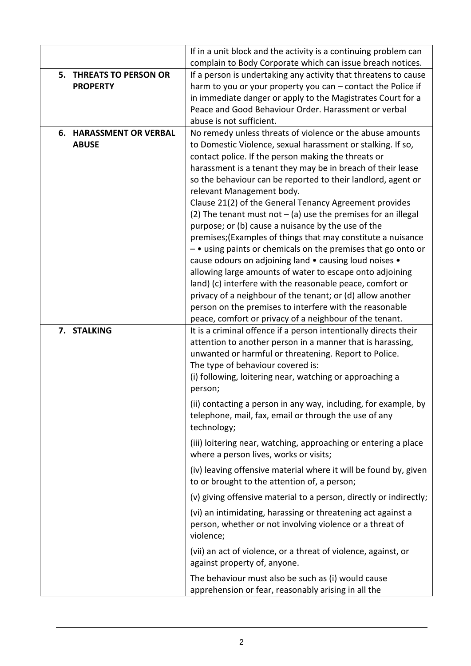|                                            | If in a unit block and the activity is a continuing problem can                                                                   |
|--------------------------------------------|-----------------------------------------------------------------------------------------------------------------------------------|
|                                            | complain to Body Corporate which can issue breach notices.                                                                        |
| 5. THREATS TO PERSON OR<br><b>PROPERTY</b> | If a person is undertaking any activity that threatens to cause<br>harm to you or your property you can $-$ contact the Police if |
|                                            | in immediate danger or apply to the Magistrates Court for a                                                                       |
|                                            | Peace and Good Behaviour Order. Harassment or verbal                                                                              |
|                                            | abuse is not sufficient.                                                                                                          |
| <b>6. HARASSMENT OR VERBAL</b>             | No remedy unless threats of violence or the abuse amounts                                                                         |
| <b>ABUSE</b>                               | to Domestic Violence, sexual harassment or stalking. If so,                                                                       |
|                                            | contact police. If the person making the threats or                                                                               |
|                                            | harassment is a tenant they may be in breach of their lease                                                                       |
|                                            | so the behaviour can be reported to their landlord, agent or                                                                      |
|                                            | relevant Management body.                                                                                                         |
|                                            | Clause 21(2) of the General Tenancy Agreement provides                                                                            |
|                                            | (2) The tenant must not $-$ (a) use the premises for an illegal                                                                   |
|                                            | purpose; or (b) cause a nuisance by the use of the                                                                                |
|                                            | premises; (Examples of things that may constitute a nuisance<br>$-$ • using paints or chemicals on the premises that go onto or   |
|                                            | cause odours on adjoining land • causing loud noises •                                                                            |
|                                            | allowing large amounts of water to escape onto adjoining                                                                          |
|                                            | land) (c) interfere with the reasonable peace, comfort or                                                                         |
|                                            | privacy of a neighbour of the tenant; or (d) allow another                                                                        |
|                                            | person on the premises to interfere with the reasonable                                                                           |
|                                            | peace, comfort or privacy of a neighbour of the tenant.                                                                           |
| 7. STALKING                                | It is a criminal offence if a person intentionally directs their                                                                  |
|                                            | attention to another person in a manner that is harassing,                                                                        |
|                                            | unwanted or harmful or threatening. Report to Police.<br>The type of behaviour covered is:                                        |
|                                            | (i) following, loitering near, watching or approaching a                                                                          |
|                                            | person;                                                                                                                           |
|                                            | (ii) contacting a person in any way, including, for example, by                                                                   |
|                                            | telephone, mail, fax, email or through the use of any                                                                             |
|                                            | technology;                                                                                                                       |
|                                            | (iii) loitering near, watching, approaching or entering a place                                                                   |
|                                            | where a person lives, works or visits;                                                                                            |
|                                            | (iv) leaving offensive material where it will be found by, given                                                                  |
|                                            | to or brought to the attention of, a person;                                                                                      |
|                                            | (v) giving offensive material to a person, directly or indirectly;                                                                |
|                                            | (vi) an intimidating, harassing or threatening act against a                                                                      |
|                                            | person, whether or not involving violence or a threat of                                                                          |
|                                            | violence;                                                                                                                         |
|                                            | (vii) an act of violence, or a threat of violence, against, or                                                                    |
|                                            | against property of, anyone.                                                                                                      |
|                                            | The behaviour must also be such as (i) would cause                                                                                |
|                                            | apprehension or fear, reasonably arising in all the                                                                               |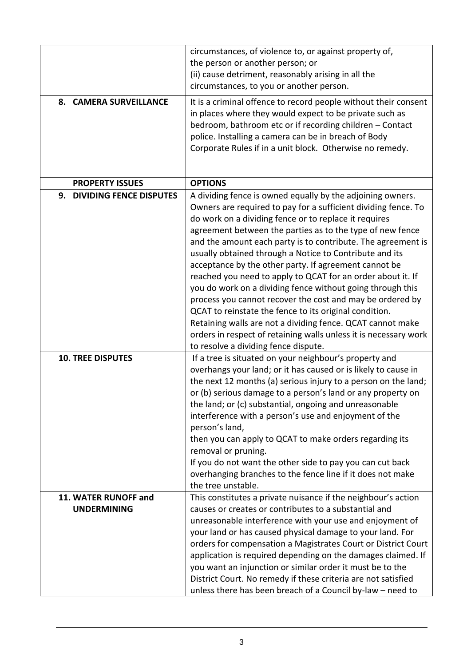| 8. CAMERA SURVEILLANCE                     | circumstances, of violence to, or against property of,<br>the person or another person; or<br>(ii) cause detriment, reasonably arising in all the<br>circumstances, to you or another person.<br>It is a criminal offence to record people without their consent<br>in places where they would expect to be private such as<br>bedroom, bathroom etc or if recording children - Contact<br>police. Installing a camera can be in breach of Body<br>Corporate Rules if in a unit block. Otherwise no remedy.                                                                                                                                                                                                                                                                                                                                                          |
|--------------------------------------------|----------------------------------------------------------------------------------------------------------------------------------------------------------------------------------------------------------------------------------------------------------------------------------------------------------------------------------------------------------------------------------------------------------------------------------------------------------------------------------------------------------------------------------------------------------------------------------------------------------------------------------------------------------------------------------------------------------------------------------------------------------------------------------------------------------------------------------------------------------------------|
| <b>PROPERTY ISSUES</b>                     | <b>OPTIONS</b>                                                                                                                                                                                                                                                                                                                                                                                                                                                                                                                                                                                                                                                                                                                                                                                                                                                       |
| 9. DIVIDING FENCE DISPUTES                 | A dividing fence is owned equally by the adjoining owners.<br>Owners are required to pay for a sufficient dividing fence. To<br>do work on a dividing fence or to replace it requires<br>agreement between the parties as to the type of new fence<br>and the amount each party is to contribute. The agreement is<br>usually obtained through a Notice to Contribute and its<br>acceptance by the other party. If agreement cannot be<br>reached you need to apply to QCAT for an order about it. If<br>you do work on a dividing fence without going through this<br>process you cannot recover the cost and may be ordered by<br>QCAT to reinstate the fence to its original condition.<br>Retaining walls are not a dividing fence. QCAT cannot make<br>orders in respect of retaining walls unless it is necessary work<br>to resolve a dividing fence dispute. |
| <b>10. TREE DISPUTES</b>                   | If a tree is situated on your neighbour's property and<br>overhangs your land; or it has caused or is likely to cause in<br>the next 12 months (a) serious injury to a person on the land;<br>or (b) serious damage to a person's land or any property on<br>the land; or (c) substantial, ongoing and unreasonable<br>interference with a person's use and enjoyment of the<br>person's land,<br>then you can apply to QCAT to make orders regarding its<br>removal or pruning.<br>If you do not want the other side to pay you can cut back<br>overhanging branches to the fence line if it does not make<br>the tree unstable.                                                                                                                                                                                                                                    |
| 11. WATER RUNOFF and<br><b>UNDERMINING</b> | This constitutes a private nuisance if the neighbour's action<br>causes or creates or contributes to a substantial and<br>unreasonable interference with your use and enjoyment of<br>your land or has caused physical damage to your land. For<br>orders for compensation a Magistrates Court or District Court<br>application is required depending on the damages claimed. If<br>you want an injunction or similar order it must be to the<br>District Court. No remedy if these criteria are not satisfied<br>unless there has been breach of a Council by-law - need to                                                                                                                                                                                                                                                                                         |